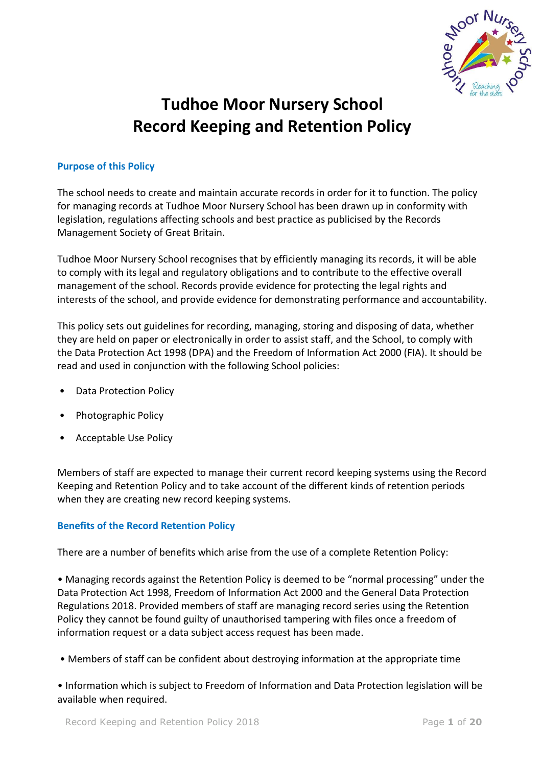

# **Tudhoe Moor Nursery School Record Keeping and Retention Policy**

# **Purpose of this Policy**

The school needs to create and maintain accurate records in order for it to function. The policy for managing records at Tudhoe Moor Nursery School has been drawn up in conformity with legislation, regulations affecting schools and best practice as publicised by the Records Management Society of Great Britain.

Tudhoe Moor Nursery School recognises that by efficiently managing its records, it will be able to comply with its legal and regulatory obligations and to contribute to the effective overall management of the school. Records provide evidence for protecting the legal rights and interests of the school, and provide evidence for demonstrating performance and accountability.

This policy sets out guidelines for recording, managing, storing and disposing of data, whether they are held on paper or electronically in order to assist staff, and the School, to comply with the Data Protection Act 1998 (DPA) and the Freedom of Information Act 2000 (FIA). It should be read and used in conjunction with the following School policies:

- Data Protection Policy
- Photographic Policy
- Acceptable Use Policy

Members of staff are expected to manage their current record keeping systems using the Record Keeping and Retention Policy and to take account of the different kinds of retention periods when they are creating new record keeping systems.

# **Benefits of the Record Retention Policy**

There are a number of benefits which arise from the use of a complete Retention Policy:

• Managing records against the Retention Policy is deemed to be "normal processing" under the Data Protection Act 1998, Freedom of Information Act 2000 and the General Data Protection Regulations 2018. Provided members of staff are managing record series using the Retention Policy they cannot be found guilty of unauthorised tampering with files once a freedom of information request or a data subject access request has been made.

• Members of staff can be confident about destroying information at the appropriate time

• Information which is subject to Freedom of Information and Data Protection legislation will be available when required.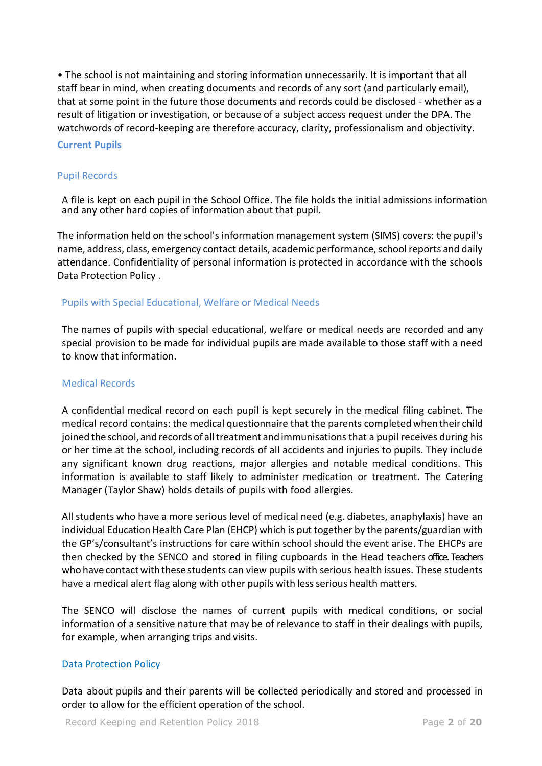• The school is not maintaining and storing information unnecessarily. It is important that all staff bear in mind, when creating documents and records of any sort (and particularly email), that at some point in the future those documents and records could be disclosed - whether as a result of litigation or investigation, or because of a subject access request under the DPA. The watchwords of record-keeping are therefore accuracy, clarity, professionalism and objectivity.

### **Current Pupils**

## Pupil Records

A file is kept on each pupil in the School Office. The file holds the initial admissions information and any other hard copies of information about that pupil.

The information held on the school's information management system (SIMS) covers: the pupil's name, address, class, emergency contact details, academic performance, school reports and daily attendance. Confidentiality of personal information is protected in accordance with the schools Data Protection Policy .

# Pupils with Special Educational, Welfare or Medical Needs

The names of pupils with special educational, welfare or medical needs are recorded and any special provision to be made for individual pupils are made available to those staff with a need to know that information.

#### Medical Records

A confidential medical record on each pupil is kept securely in the medical filing cabinet. The medical record contains: the medical questionnaire that the parents completed when their child joined the school, and records of all treatment and immunisations that a pupil receives during his or her time at the school, including records of all accidents and injuries to pupils. They include any significant known drug reactions, major allergies and notable medical conditions. This information is available to staff likely to administer medication or treatment. The Catering Manager (Taylor Shaw) holds details of pupils with food allergies.

All students who have a more serious level of medical need (e.g. diabetes, anaphylaxis) have an individual Education Health Care Plan (EHCP) which is put together by the parents/guardian with the GP's/consultant's instructions for care within school should the event arise. The EHCPs are then checked by the SENCO and stored in filing cupboards in the Head teachers office. Teachers who have contact with these students can view pupils with serious health issues. These students have a medical alert flag along with other pupils with less serious health matters.

The SENCO will disclose the names of current pupils with medical conditions, or social information of a sensitive nature that may be of relevance to staff in their dealings with pupils, for example, when arranging trips and visits.

# Data Protection Policy

Data about pupils and their parents will be collected periodically and stored and processed in order to allow for the efficient operation of the school.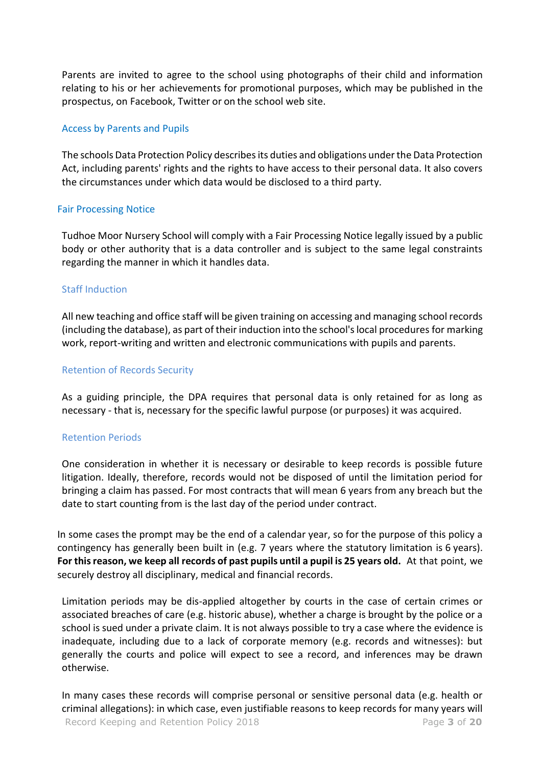Parents are invited to agree to the school using photographs of their child and information relating to his or her achievements for promotional purposes, which may be published in the prospectus, on Facebook, Twitter or on the school web site.

# Access by Parents and Pupils

The schools Data Protection Policy describes its duties and obligations under the Data Protection Act, including parents' rights and the rights to have access to their personal data. It also covers the circumstances under which data would be disclosed to a third party.

### Fair Processing Notice

Tudhoe Moor Nursery School will comply with a Fair Processing Notice legally issued by a public body or other authority that is a data controller and is subject to the same legal constraints regarding the manner in which it handles data.

### Staff Induction

All new teaching and office staff will be given training on accessing and managing school records (including the database), as part of their induction into the school's local procedures for marking work, report-writing and written and electronic communications with pupils and parents.

### Retention of Records Security

As a guiding principle, the DPA requires that personal data is only retained for as long as necessary - that is, necessary for the specific lawful purpose (or purposes) it was acquired.

# Retention Periods

One consideration in whether it is necessary or desirable to keep records is possible future litigation. Ideally, therefore, records would not be disposed of until the limitation period for bringing a claim has passed. For most contracts that will mean 6 years from any breach but the date to start counting from is the last day of the period under contract.

In some cases the prompt may be the end of a calendar year, so for the purpose of this policy a contingency has generally been built in (e.g. 7 years where the statutory limitation is 6 years). **For thisreason, we keep all records of past pupils until a pupil is 25 years old.** At that point, we securely destroy all disciplinary, medical and financial records.

Limitation periods may be dis-applied altogether by courts in the case of certain crimes or associated breaches of care (e.g. historic abuse), whether a charge is brought by the police or a school is sued under a private claim. It is not always possible to try a case where the evidence is inadequate, including due to a lack of corporate memory (e.g. records and witnesses): but generally the courts and police will expect to see a record, and inferences may be drawn otherwise.

Record Keeping and Retention Policy 2018 Page **3** of **20** In many cases these records will comprise personal or sensitive personal data (e.g. health or criminal allegations): in which case, even justifiable reasons to keep records for many years will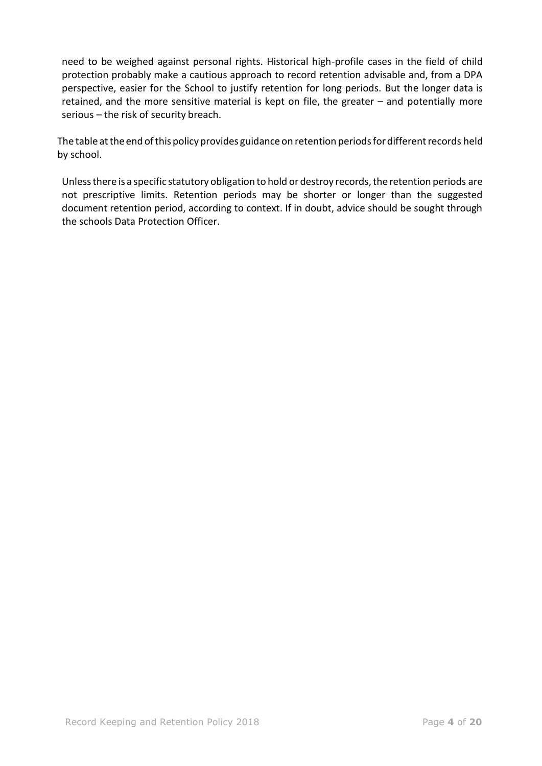need to be weighed against personal rights. Historical high-profile cases in the field of child protection probably make a cautious approach to record retention advisable and, from a DPA perspective, easier for the School to justify retention for long periods. But the longer data is retained, and the more sensitive material is kept on file, the greater – and potentially more serious – the risk of security breach.

The table at the end of this policy provides guidance on retention periods for different records held by school.

Unless there is a specific statutory obligation to hold or destroy records, the retention periods are not prescriptive limits. Retention periods may be shorter or longer than the suggested document retention period, according to context. If in doubt, advice should be sought through the schools Data Protection Officer.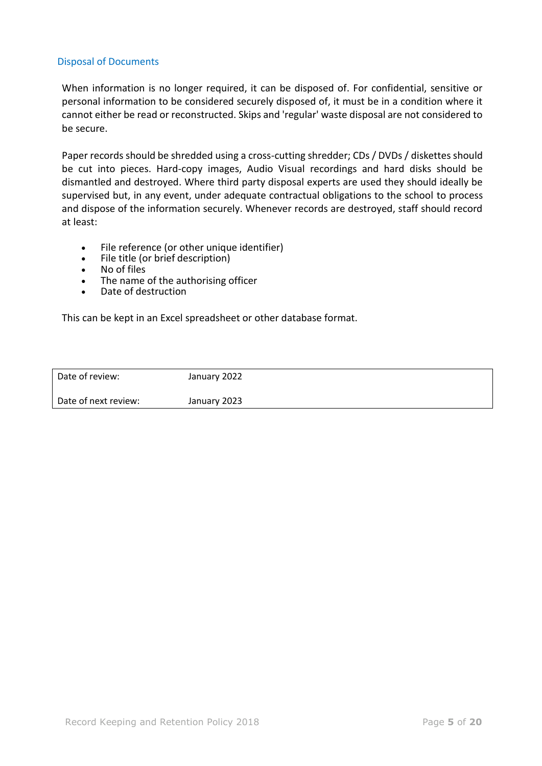## Disposal of Documents

When information is no longer required, it can be disposed of. For confidential, sensitive or personal information to be considered securely disposed of, it must be in a condition where it cannot either be read or reconstructed. Skips and 'regular' waste disposal are not considered to be secure.

Paper records should be shredded using a cross-cutting shredder; CDs / DVDs / diskettes should be cut into pieces. Hard-copy images, Audio Visual recordings and hard disks should be dismantled and destroyed. Where third party disposal experts are used they should ideally be supervised but, in any event, under adequate contractual obligations to the school to process and dispose of the information securely. Whenever records are destroyed, staff should record at least:

- File reference (or other unique identifier)
- File title (or brief description)
- No of files
- The name of the authorising officer<br>• Date of destruction
- Date of destruction

This can be kept in an Excel spreadsheet or other database format.

| l Date of review:    | January 2022 |
|----------------------|--------------|
| Date of next review: | January 2023 |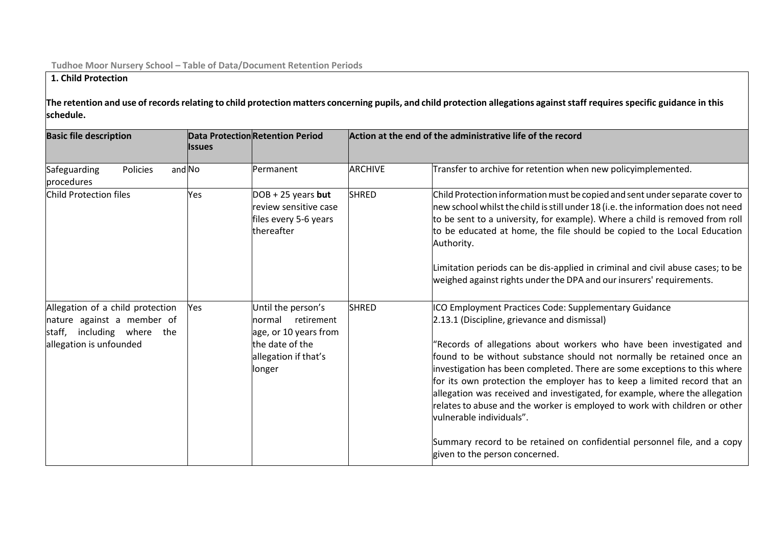# **1. Child Protection**

The retention and use of records relating to child protection matters concerning pupils, and child protection allegations against staff requires specific guidance in this **schedule.**

| <b>Basic file description</b>                                                                                              | <b>Issues</b> | <b>Data Protection Retention Period</b>                                                                               | Action at the end of the administrative life of the record |                                                                                                                                                                                                                                                                                                                                                                                                                                                                                                                                                                                                                                                                                                                         |  |
|----------------------------------------------------------------------------------------------------------------------------|---------------|-----------------------------------------------------------------------------------------------------------------------|------------------------------------------------------------|-------------------------------------------------------------------------------------------------------------------------------------------------------------------------------------------------------------------------------------------------------------------------------------------------------------------------------------------------------------------------------------------------------------------------------------------------------------------------------------------------------------------------------------------------------------------------------------------------------------------------------------------------------------------------------------------------------------------------|--|
| Safeguarding<br>Policies<br>procedures                                                                                     | and No        | Permanent                                                                                                             | <b>ARCHIVE</b>                                             | Transfer to archive for retention when new policyimplemented.                                                                                                                                                                                                                                                                                                                                                                                                                                                                                                                                                                                                                                                           |  |
| Child Protection files                                                                                                     | Yes           | $DOB + 25$ years but<br>review sensitive case<br>files every 5-6 years<br>thereafter                                  | <b>SHRED</b>                                               | Child Protection information must be copied and sent under separate cover to<br>new school whilst the child is still under 18 (i.e. the information does not need<br>to be sent to a university, for example). Where a child is removed from roll<br>to be educated at home, the file should be copied to the Local Education<br>Authority.<br>Limitation periods can be dis-applied in criminal and civil abuse cases; to be<br>weighed against rights under the DPA and our insurers' requirements.                                                                                                                                                                                                                   |  |
| Allegation of a child protection<br>nature against a member of<br>staff, including where<br>the<br>allegation is unfounded | Yes           | Until the person's<br>normal retirement<br>age, or 10 years from<br>the date of the<br>allegation if that's<br>longer | <b>SHRED</b>                                               | ICO Employment Practices Code: Supplementary Guidance<br>2.13.1 (Discipline, grievance and dismissal)<br>"Records of allegations about workers who have been investigated and<br>found to be without substance should not normally be retained once an<br>investigation has been completed. There are some exceptions to this where<br>for its own protection the employer has to keep a limited record that an<br>allegation was received and investigated, for example, where the allegation<br>relates to abuse and the worker is employed to work with children or other<br>lvulnerable individuals".<br>Summary record to be retained on confidential personnel file, and a copy<br>given to the person concerned. |  |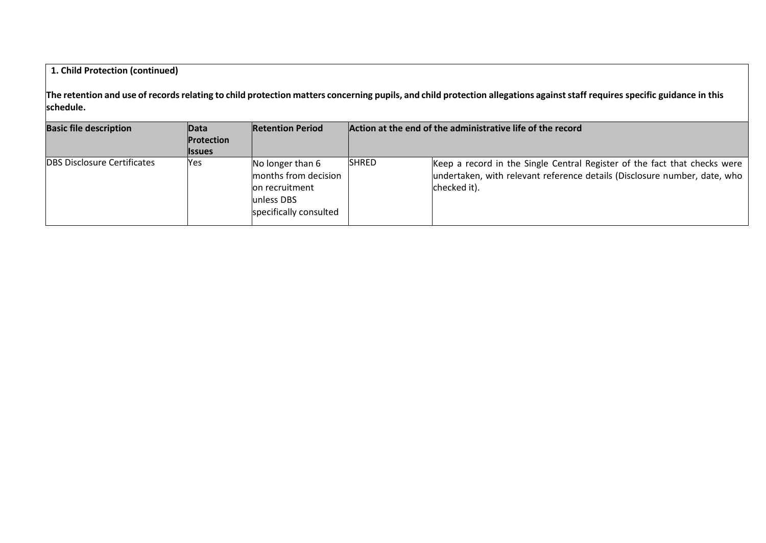# **1. Child Protection (continued)**

The retention and use of records relating to child protection matters concerning pupils, and child protection allegations against staff requires specific guidance in this **schedule.**

| <b>Basic file description</b>      | Data          | <b>Retention Period</b>                                                                              | Action at the end of the administrative life of the record |                                                                                                                                                                        |
|------------------------------------|---------------|------------------------------------------------------------------------------------------------------|------------------------------------------------------------|------------------------------------------------------------------------------------------------------------------------------------------------------------------------|
|                                    | Protection    |                                                                                                      |                                                            |                                                                                                                                                                        |
|                                    | <b>Issues</b> |                                                                                                      |                                                            |                                                                                                                                                                        |
| <b>DBS Disclosure Certificates</b> | Yes           | No longer than 6<br>months from decision<br>lon recruitment<br>lunless DBS<br>specifically consulted | <b>SHRED</b>                                               | Keep a record in the Single Central Register of the fact that checks were<br>undertaken, with relevant reference details (Disclosure number, date, who<br>checked it). |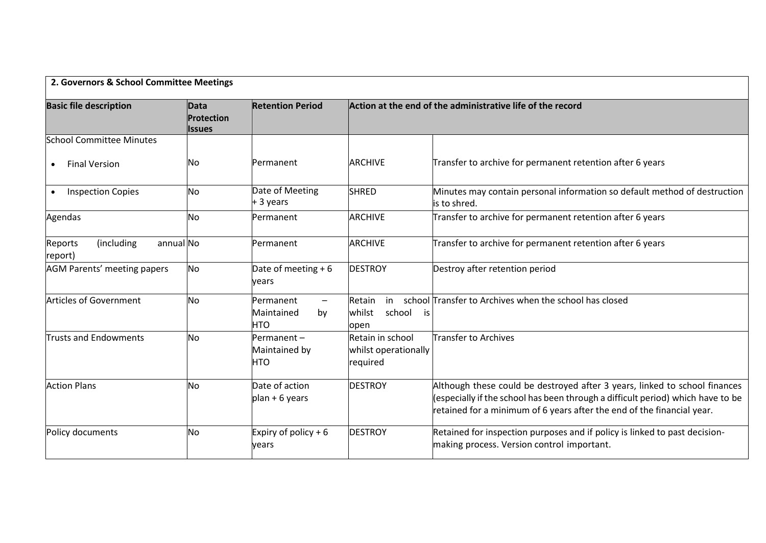| 2. Governors & School Committee Meetings      |                                                   |                                                                                |                                                            |                                                                                                                                                                                                                                         |  |
|-----------------------------------------------|---------------------------------------------------|--------------------------------------------------------------------------------|------------------------------------------------------------|-----------------------------------------------------------------------------------------------------------------------------------------------------------------------------------------------------------------------------------------|--|
| <b>Basic file description</b>                 | <b>Data</b><br><b>Protection</b><br><b>Issues</b> | <b>Retention Period</b>                                                        | Action at the end of the administrative life of the record |                                                                                                                                                                                                                                         |  |
| <b>School Committee Minutes</b>               |                                                   |                                                                                |                                                            |                                                                                                                                                                                                                                         |  |
| <b>Final Version</b>                          | Νo                                                | Permanent                                                                      | <b>ARCHIVE</b>                                             | Transfer to archive for permanent retention after 6 years                                                                                                                                                                               |  |
| <b>Inspection Copies</b><br>$\bullet$         | No                                                | Date of Meeting<br>+ 3 years                                                   | <b>SHRED</b>                                               | Minutes may contain personal information so default method of destruction<br>is to shred.                                                                                                                                               |  |
| Agendas                                       | No                                                | Permanent                                                                      | <b>ARCHIVE</b>                                             | Transfer to archive for permanent retention after 6 years                                                                                                                                                                               |  |
| (including<br>annual No<br>Reports<br>report) |                                                   | Permanent                                                                      | <b>ARCHIVE</b>                                             | Transfer to archive for permanent retention after 6 years                                                                                                                                                                               |  |
| AGM Parents' meeting papers                   | N <sub>o</sub>                                    | Date of meeting $+6$<br>vears                                                  | <b>DESTROY</b>                                             | Destroy after retention period                                                                                                                                                                                                          |  |
| Articles of Government                        | No                                                | <b>Permanent</b><br>$\overline{\phantom{m}}$<br>Maintained<br>by<br><b>HTO</b> | Retain<br>in<br>school<br>whilst<br>is<br>open             | school Transfer to Archives when the school has closed                                                                                                                                                                                  |  |
| <b>Trusts and Endowments</b>                  | No                                                | Permanent-<br>Maintained by<br><b>HTO</b>                                      | Retain in school<br>whilst operationally<br>required       | <b>Transfer to Archives</b>                                                                                                                                                                                                             |  |
| <b>Action Plans</b>                           | No                                                | Date of action<br>$plan + 6 years$                                             | <b>DESTROY</b>                                             | Although these could be destroyed after 3 years, linked to school finances<br>(especially if the school has been through a difficult period) which have to be<br>retained for a minimum of 6 years after the end of the financial year. |  |
| Policy documents                              | No                                                | Expiry of policy $+6$<br>vears                                                 | <b>DESTROY</b>                                             | Retained for inspection purposes and if policy is linked to past decision-<br>making process. Version control important.                                                                                                                |  |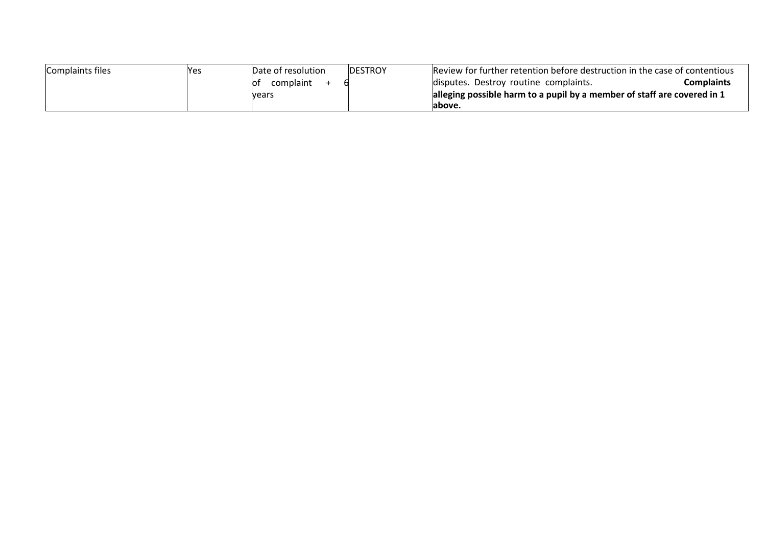| Complaints files | res | Date of resolution | <b>DESTROY</b> | Review for further retention before destruction in the case of contentious |            |
|------------------|-----|--------------------|----------------|----------------------------------------------------------------------------|------------|
|                  |     | lO1<br>complaint   |                | disputes. Destroy routine complaints.                                      | Complaints |
|                  |     | <b>Vears</b>       |                | alleging possible harm to a pupil by a member of staff are covered in 1    |            |
|                  |     |                    |                | labove.                                                                    |            |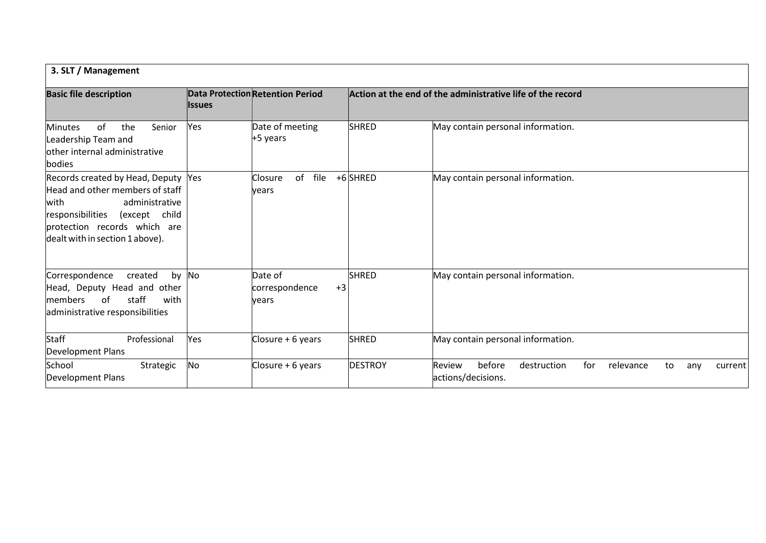| 3. SLT / Management                                                                                                                                                                                      |                |                                            |                |                                                                                                   |  |
|----------------------------------------------------------------------------------------------------------------------------------------------------------------------------------------------------------|----------------|--------------------------------------------|----------------|---------------------------------------------------------------------------------------------------|--|
| <b>Basic file description</b>                                                                                                                                                                            | <b>l</b> ssues | <b>Data Protection Retention Period</b>    |                | Action at the end of the administrative life of the record                                        |  |
| of<br>the<br><b>Minutes</b><br>Senior<br>Leadership Team and<br>lother internal administrative<br>bodies                                                                                                 | Yes            | Date of meeting<br>+5 years                | <b>SHRED</b>   | May contain personal information.                                                                 |  |
| Records created by Head, Deputy Yes<br>Head and other members of staff<br>with<br>administrative<br>responsibilities<br>(except child<br>protection records which are<br>dealt with in section 1 above). |                | file<br>of<br>Closure<br>vears             | +6 SHRED       | May contain personal information.                                                                 |  |
| Correspondence<br>created<br>Head, Deputy Head and other<br>staff<br>with<br>of<br><b>Imembers</b><br>administrative responsibilities                                                                    | by No          | Date of<br>correspondence<br>$+3$<br>vears | <b>SHRED</b>   | May contain personal information.                                                                 |  |
| <b>Staff</b><br>Professional<br>Development Plans                                                                                                                                                        | Yes            | Closure + 6 years                          | <b>SHRED</b>   | May contain personal information.                                                                 |  |
| School<br>Strategic<br>Development Plans                                                                                                                                                                 | No             | Closure + 6 years                          | <b>DESTROY</b> | Review<br>before<br>for<br>destruction<br>relevance<br>to<br>any<br>current<br>actions/decisions. |  |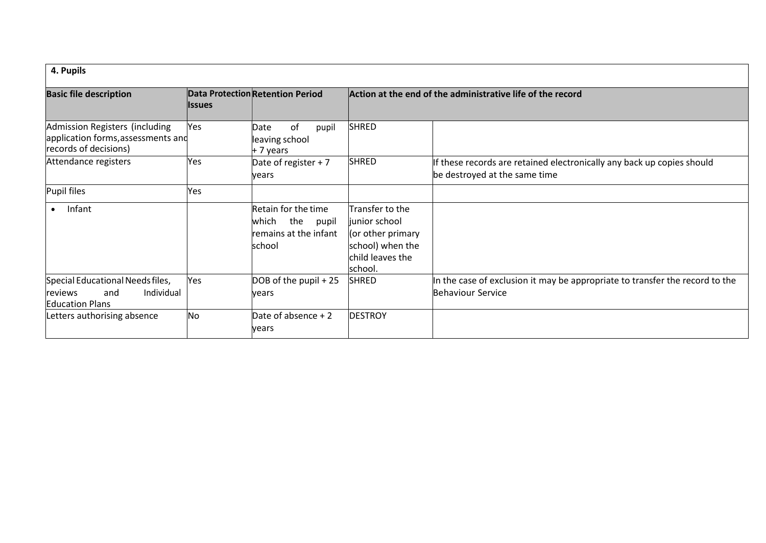| 4. Pupils                                                                                     |                |                                                                                 |                                                                                                           |                                                                                                          |  |
|-----------------------------------------------------------------------------------------------|----------------|---------------------------------------------------------------------------------|-----------------------------------------------------------------------------------------------------------|----------------------------------------------------------------------------------------------------------|--|
| <b>Basic file description</b>                                                                 | <b>Ilssues</b> | <b>Data Protection Retention Period</b>                                         |                                                                                                           | Action at the end of the administrative life of the record                                               |  |
| Admission Registers (including<br>application forms, assessments and<br>records of decisions) | Yes            | 0f<br>pupil<br>Date<br>leaving school<br>+ 7 years                              | <b>SHRED</b>                                                                                              |                                                                                                          |  |
| Attendance registers                                                                          | Yes            | Date of register + 7<br>vears                                                   | <b>SHRED</b>                                                                                              | If these records are retained electronically any back up copies should<br>be destroyed at the same time  |  |
| Pupil files                                                                                   | Yes            |                                                                                 |                                                                                                           |                                                                                                          |  |
| Infant                                                                                        |                | Retain for the time<br>which<br>the<br>pupil<br>remains at the infant<br>school | Transfer to the<br>liunior school<br>(or other primary<br>school) when the<br>child leaves the<br>school. |                                                                                                          |  |
| Special Educational Needs files,<br>Individual<br>and<br>reviews<br><b>Education Plans</b>    | Yes            | DOB of the pupil + 25<br>vears                                                  | <b>SHRED</b>                                                                                              | In the case of exclusion it may be appropriate to transfer the record to the<br><b>Behaviour Service</b> |  |
| Letters authorising absence                                                                   | No             | Date of absence $+2$<br>vears                                                   | <b>DESTROY</b>                                                                                            |                                                                                                          |  |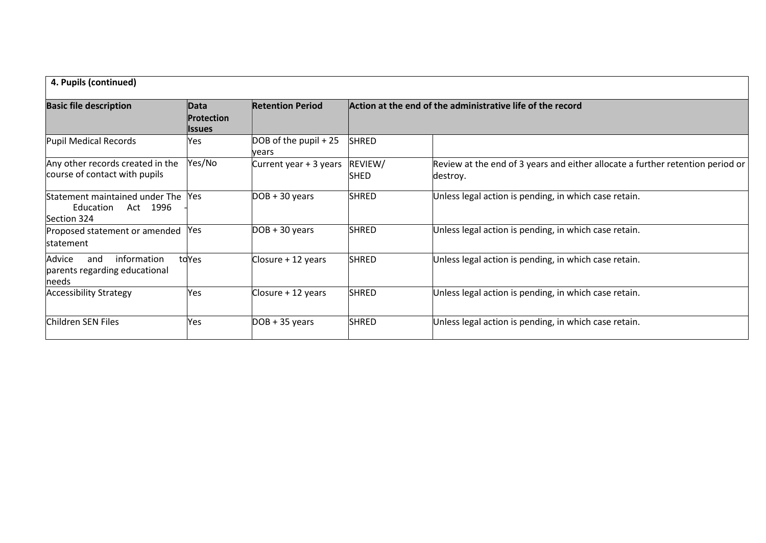| 4. Pupils (continued)                                                  |                                      |                                  |                                                            |                                                                                            |  |
|------------------------------------------------------------------------|--------------------------------------|----------------------------------|------------------------------------------------------------|--------------------------------------------------------------------------------------------|--|
| <b>Basic file description</b>                                          | Data<br><b>Protection</b><br>llssues | <b>Retention Period</b>          | Action at the end of the administrative life of the record |                                                                                            |  |
| Pupil Medical Records                                                  | Yes                                  | $DOB$ of the pupil + 25<br>vears | <b>SHRED</b>                                               |                                                                                            |  |
| Any other records created in the<br>course of contact with pupils      | Yes/No                               | Current year + 3 years           | REVIEW/<br>SHED                                            | Review at the end of 3 years and either allocate a further retention period or<br>destroy. |  |
| Statement maintained under The<br>Education<br>Act 1996<br>Section 324 | Yes                                  | $DOB + 30 years$                 | <b>SHRED</b>                                               | Unless legal action is pending, in which case retain.                                      |  |
| Proposed statement or amended<br><b>statement</b>                      | Yes                                  | $DOB + 30 years$                 | <b>SHRED</b>                                               | Unless legal action is pending, in which case retain.                                      |  |
| Advice<br>information<br>and<br>parents regarding educational<br>needs | toYes                                | Closure + 12 years               | <b>SHRED</b>                                               | Unless legal action is pending, in which case retain.                                      |  |
| <b>Accessibility Strategy</b>                                          | Yes                                  | Closure + 12 years               | <b>SHRED</b>                                               | Unless legal action is pending, in which case retain.                                      |  |
| Children SEN Files                                                     | Yes                                  | $DOB + 35$ years                 | <b>SHRED</b>                                               | Unless legal action is pending, in which case retain.                                      |  |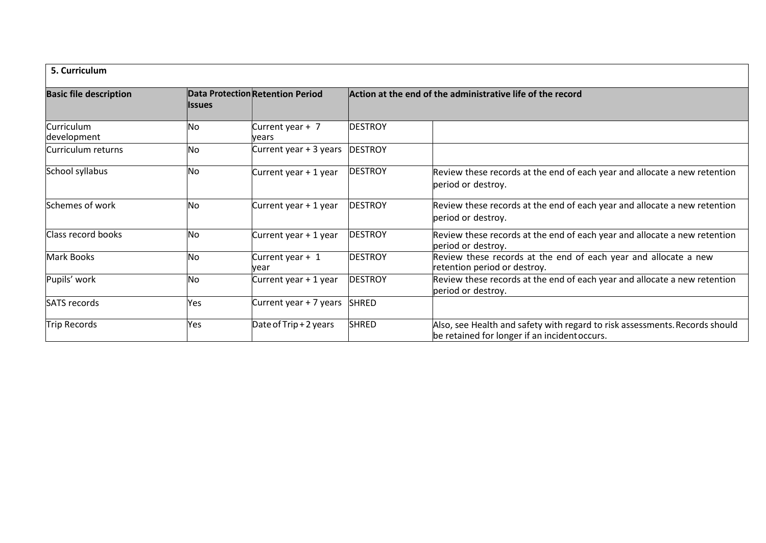| 5. Curriculum                 |               |                                         |                                                            |                                                                                                                              |  |  |
|-------------------------------|---------------|-----------------------------------------|------------------------------------------------------------|------------------------------------------------------------------------------------------------------------------------------|--|--|
| <b>Basic file description</b> | <b>Issues</b> | <b>Data Protection Retention Period</b> | Action at the end of the administrative life of the record |                                                                                                                              |  |  |
| Curriculum<br>development     | No            | Current year + 7<br>vears               | <b>DESTROY</b>                                             |                                                                                                                              |  |  |
| Curriculum returns            | No            | Current year + 3 years                  | <b>DESTROY</b>                                             |                                                                                                                              |  |  |
| School syllabus               | No            | Current year + 1 year                   | <b>DESTROY</b>                                             | Review these records at the end of each year and allocate a new retention<br>period or destroy.                              |  |  |
| Schemes of work               | No            | Current year + 1 year                   | <b>DESTROY</b>                                             | Review these records at the end of each year and allocate a new retention<br>period or destroy.                              |  |  |
| Class record books            | No            | Current year + 1 year                   | <b>DESTROY</b>                                             | Review these records at the end of each year and allocate a new retention<br>period or destroy.                              |  |  |
| <b>Mark Books</b>             | No            | Current year + 1<br>vear                | <b>DESTROY</b>                                             | Review these records at the end of each year and allocate a new<br>retention period or destroy.                              |  |  |
| Pupils' work                  | No            | Current year + 1 year                   | <b>DESTROY</b>                                             | Review these records at the end of each year and allocate a new retention<br>period or destroy.                              |  |  |
| <b>SATS</b> records           | Yes           | Current year + 7 years                  | <b>SHRED</b>                                               |                                                                                                                              |  |  |
| Trip Records                  | Yes           | Date of Trip + 2 years                  | <b>SHRED</b>                                               | Also, see Health and safety with regard to risk assessments. Records should<br>be retained for longer if an incident occurs. |  |  |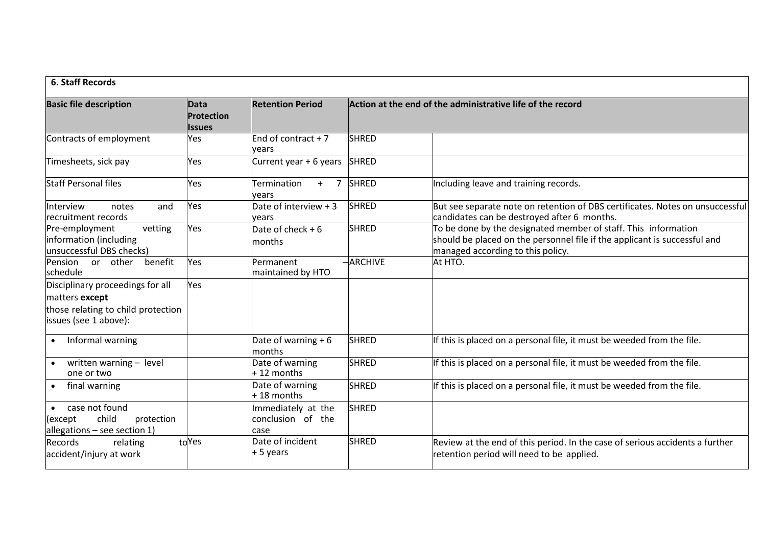| <b>6. Staff Records</b>                                                                                           |                                      |                                                 |                                                            |                                                                                                                                                                                  |  |
|-------------------------------------------------------------------------------------------------------------------|--------------------------------------|-------------------------------------------------|------------------------------------------------------------|----------------------------------------------------------------------------------------------------------------------------------------------------------------------------------|--|
| <b>Basic file description</b>                                                                                     | Data<br>Protection<br><b>l</b> ssues | <b>Retention Period</b>                         | Action at the end of the administrative life of the record |                                                                                                                                                                                  |  |
| Contracts of employment                                                                                           | Yes                                  | End of contract $+7$<br>vears                   | <b>SHRED</b>                                               |                                                                                                                                                                                  |  |
| Timesheets, sick pay                                                                                              | Yes                                  | Current year + 6 years                          | <b>SHRED</b>                                               |                                                                                                                                                                                  |  |
| <b>Staff Personal files</b>                                                                                       | Yes                                  | Termination<br>$\overline{7}$<br>$+$<br>vears   | <b>SHRED</b>                                               | Including leave and training records.                                                                                                                                            |  |
| Interview<br>notes<br>and<br>recruitment records                                                                  | Yes                                  | Date of interview + 3<br>vears                  | <b>SHRED</b>                                               | But see separate note on retention of DBS certificates. Notes on unsuccessful<br>candidates can be destroyed after 6 months.                                                     |  |
| Pre-employment<br>vetting<br>information (including<br>unsuccessful DBS checks)                                   | Yes                                  | Date of check $+6$<br>months                    | <b>SHRED</b>                                               | To be done by the designated member of staff. This information<br>should be placed on the personnel file if the applicant is successful and<br>managed according to this policy. |  |
| benefit<br>Pension or other<br>schedule                                                                           | Yes                                  | <b>Permanent</b><br>maintained by HTO           | $-$ ARCHIVE                                                | At HTO.                                                                                                                                                                          |  |
| Disciplinary proceedings for all<br>matters except<br>those relating to child protection<br>issues (see 1 above): | Yes                                  |                                                 |                                                            |                                                                                                                                                                                  |  |
| Informal warning<br>$\bullet$                                                                                     |                                      | Date of warning $+6$<br>months                  | <b>SHRED</b>                                               | If this is placed on a personal file, it must be weeded from the file.                                                                                                           |  |
| written warning - level<br>$\bullet$<br>one or two                                                                |                                      | Date of warning<br>$+12$ months                 | <b>SHRED</b>                                               | If this is placed on a personal file, it must be weeded from the file.                                                                                                           |  |
| final warning                                                                                                     |                                      | Date of warning<br>$+18$ months                 | <b>SHRED</b>                                               | If this is placed on a personal file, it must be weeded from the file.                                                                                                           |  |
| case not found<br>child<br>(except<br>protection<br>allegations $-$ see section 1)                                |                                      | Immediately at the<br>conclusion of the<br>case | <b>SHRED</b>                                               |                                                                                                                                                                                  |  |
| Records<br>relating<br>accident/injury at work                                                                    | toYes                                | Date of incident<br>$+5$ years                  | <b>SHRED</b>                                               | Review at the end of this period. In the case of serious accidents a further<br>retention period will need to be applied.                                                        |  |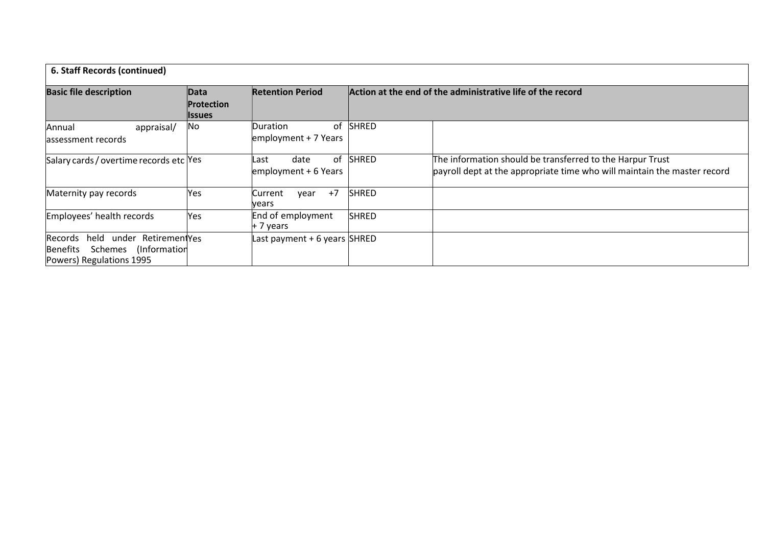| 6. Staff Records (continued)                                                                          |                                            |                                            |                                                            |                                                                                                                                       |  |
|-------------------------------------------------------------------------------------------------------|--------------------------------------------|--------------------------------------------|------------------------------------------------------------|---------------------------------------------------------------------------------------------------------------------------------------|--|
| <b>Basic file description</b>                                                                         | Data<br><b>Protection</b><br><b>Issues</b> | <b>Retention Period</b>                    | Action at the end of the administrative life of the record |                                                                                                                                       |  |
| appraisal/<br>Annual<br>lassessment records                                                           | No                                         | of<br>Duration<br>employment + 7 Years     | <b>SHRED</b>                                               |                                                                                                                                       |  |
| Salary cards / overtime records etc Yes                                                               |                                            | of<br>date<br>Last<br>employment + 6 Years | <b>SHRED</b>                                               | The information should be transferred to the Harpur Trust<br>payroll dept at the appropriate time who will maintain the master record |  |
| Maternity pay records                                                                                 | Yes                                        | $+7$<br>Current<br>vear<br>years           | <b>SHRED</b>                                               |                                                                                                                                       |  |
| Employees' health records                                                                             | Yes                                        | End of employment<br>+ 7 years             | <b>SHRED</b>                                               |                                                                                                                                       |  |
| held under RetirementYes<br>Records<br>Schemes (Information<br> Benefits <br>Powers) Regulations 1995 |                                            | Last payment + 6 years SHRED               |                                                            |                                                                                                                                       |  |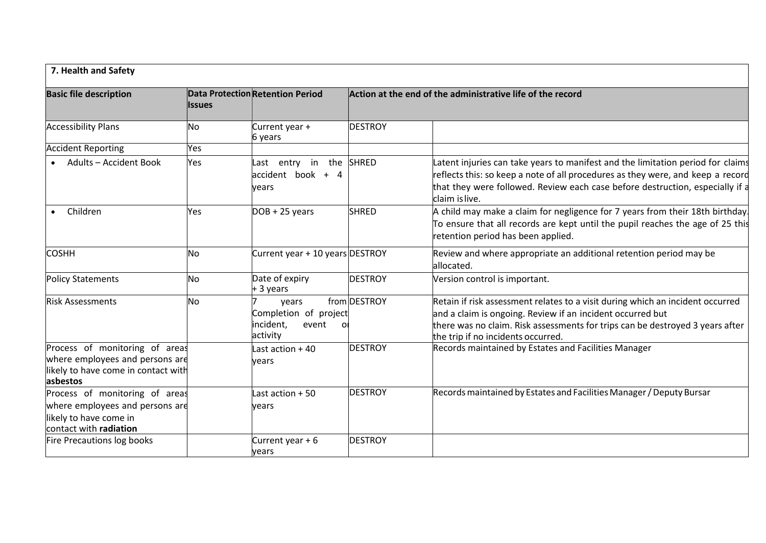| 7. Health and Safety                                                                                                 |               |                                                                        |                |                                                                                                                                                                                                                                                                       |  |
|----------------------------------------------------------------------------------------------------------------------|---------------|------------------------------------------------------------------------|----------------|-----------------------------------------------------------------------------------------------------------------------------------------------------------------------------------------------------------------------------------------------------------------------|--|
| <b>Basic file description</b>                                                                                        | <b>Issues</b> | <b>Data Protection Retention Period</b>                                |                | Action at the end of the administrative life of the record                                                                                                                                                                                                            |  |
| <b>Accessibility Plans</b>                                                                                           | No            | Current year +<br>6 years                                              | <b>DESTROY</b> |                                                                                                                                                                                                                                                                       |  |
| <b>Accident Reporting</b>                                                                                            | Yes           |                                                                        |                |                                                                                                                                                                                                                                                                       |  |
| <b>Adults - Accident Book</b>                                                                                        | Yes           | Last entry in the SHRED<br>$accident$ book + 4<br>vears                |                | Latent injuries can take years to manifest and the limitation period for claims<br>reflects this: so keep a note of all procedures as they were, and keep a record<br>that they were followed. Review each case before destruction, especially if a<br>claim is live. |  |
| Children                                                                                                             | Yes           | $DOB + 25 years$                                                       | <b>SHRED</b>   | A child may make a claim for negligence for 7 years from their 18th birthday.<br>To ensure that all records are kept until the pupil reaches the age of 25 this<br>retention period has been applied.                                                                 |  |
| <b>COSHH</b>                                                                                                         | No            | Current year + 10 years DESTROY                                        |                | Review and where appropriate an additional retention period may be<br>allocated.                                                                                                                                                                                      |  |
| <b>Policy Statements</b>                                                                                             | No            | Date of expiry<br>$+3$ years                                           | <b>DESTROY</b> | Version control is important.                                                                                                                                                                                                                                         |  |
| <b>Risk Assessments</b>                                                                                              | No            | years<br>Completion of project<br>incident,<br>event<br>ΟI<br>activity | from DESTROY   | Retain if risk assessment relates to a visit during which an incident occurred<br>and a claim is ongoing. Review if an incident occurred but<br>there was no claim. Risk assessments for trips can be destroyed 3 years after<br>the trip if no incidents occurred.   |  |
| Process of monitoring of areas<br>where employees and persons are<br>likely to have come in contact with<br>asbestos |               | Last action + 40<br>vears                                              | <b>DESTROY</b> | Records maintained by Estates and Facilities Manager                                                                                                                                                                                                                  |  |
| Process of monitoring of areas<br>where employees and persons are<br>likely to have come in                          |               | Last action $+50$<br>vears                                             | <b>DESTROY</b> | Records maintained by Estates and Facilities Manager / Deputy Bursar                                                                                                                                                                                                  |  |
| contact with radiation                                                                                               |               |                                                                        |                |                                                                                                                                                                                                                                                                       |  |
| Fire Precautions log books                                                                                           |               | Current year $+6$<br>years                                             | <b>DESTROY</b> |                                                                                                                                                                                                                                                                       |  |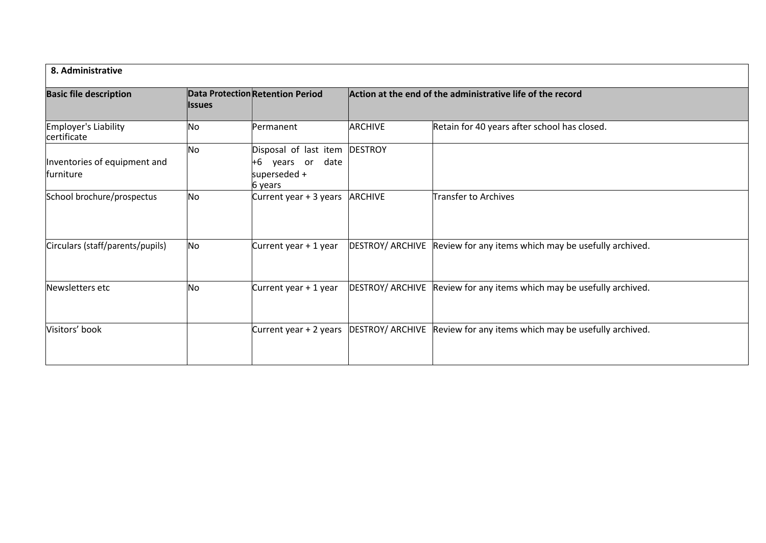| 8. Administrative                         |                     |                                                                            |                                                            |                                                                       |
|-------------------------------------------|---------------------|----------------------------------------------------------------------------|------------------------------------------------------------|-----------------------------------------------------------------------|
| <b>Basic file description</b>             | <b>Issues</b><br>No | Data Protection Retention Period<br>Permanent                              | Action at the end of the administrative life of the record |                                                                       |
| Employer's Liability<br>certificate       |                     |                                                                            | <b>ARCHIVE</b>                                             | Retain for 40 years after school has closed.                          |
| Inventories of equipment and<br>furniture | No                  | Disposal of last item<br>+6<br>years or<br>date<br>superseded +<br>6 years | <b>DESTROY</b>                                             |                                                                       |
| School brochure/prospectus                | No                  | Current year + 3 years                                                     | <b>ARCHIVE</b>                                             | Transfer to Archives                                                  |
| Circulars (staff/parents/pupils)          | No                  | Current year + 1 year                                                      |                                                            | DESTROY/ ARCHIVE Review for any items which may be usefully archived. |
| Newsletters etc                           | No                  | Current year + 1 year                                                      |                                                            | DESTROY/ ARCHIVE Review for any items which may be usefully archived. |
| Visitors' book                            |                     | Current year + 2 years                                                     |                                                            | DESTROY/ ARCHIVE Review for any items which may be usefully archived. |